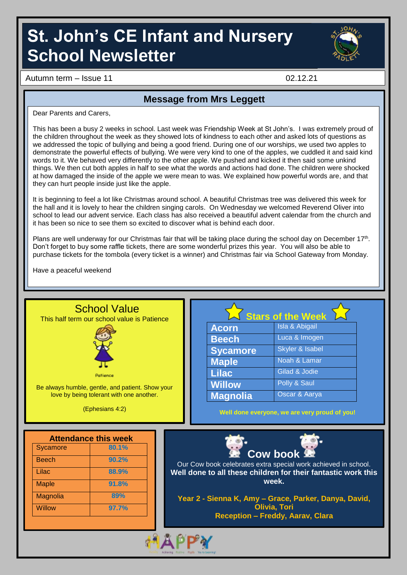# **St. John's CE Infant and Nursery School Newsletter**



Autumn term – Issue 11 02.12.21

#### **Message from Mrs Leggett**

Dear Parents and Carers,

This has been a busy 2 weeks in school. Last week was Friendship Week at St John's. I was extremely proud of the children throughout the week as they showed lots of kindness to each other and asked lots of questions as we addressed the topic of bullying and being a good friend. During one of our worships, we used two apples to demonstrate the powerful effects of bullying. We were very kind to one of the apples, we cuddled it and said kind words to it. We behaved very differently to the other apple. We pushed and kicked it then said some unkind things. We then cut both apples in half to see what the words and actions had done. The children were shocked at how damaged the inside of the apple we were mean to was. We explained how powerful words are, and that they can hurt people inside just like the apple.

It is beginning to feel a lot like Christmas around school. A beautiful Christmas tree was delivered this week for the hall and it is lovely to hear the children singing carols. On Wednesday we welcomed Reverend Oliver into school to lead our advent service. Each class has also received a beautiful advent calendar from the church and it has been so nice to see them so excited to discover what is behind each door.

Plans are well underway for our Christmas fair that will be taking place during the school day on December 17<sup>th</sup>. Don't forget to buy some raffle tickets, there are some wonderful prizes this year. You will also be able to purchase tickets for the tombola (every ticket is a winner) and Christmas fair via School Gateway from Monday.

Have a peaceful weekend

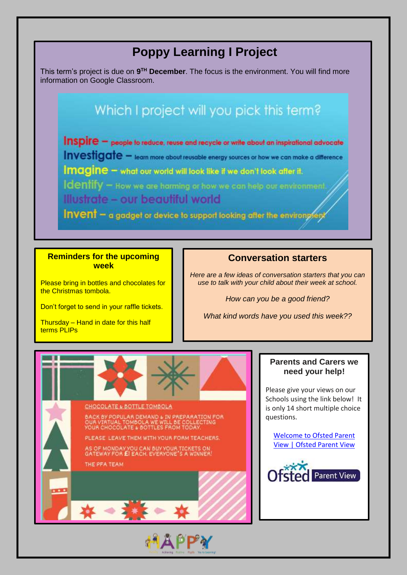### **Poppy Learning I Project**

This term's project is due on 9<sup>TH</sup> December. The focus is the environment. You will find more information on Google Classroom.

### Which I project will you pick this term?

Inspire - people to reduce, reuse and recycle or write about an inspirational advocate Investigate - learn more about reusable energy sources or how we can make a difference Imagine - what our world will look like if we don't look after it. Identify - How we are harming or how we can help our environment. Illustrate - our beautiful world

Invent - a gadget or device to support looking after the environment

#### **Reminders for the upcoming week**

Please bring in bottles and chocolates for the Christmas tombola.

Don't forget to send in your raffle tickets.

Thursday – Hand in date for this half terms PLIPs

#### **Conversation starters**

*Here are a few ideas of conversation starters that you can use to talk with your child about their week at school.*

*How can you be a good friend?*

*What kind words have you used this week??*



#### **Parents and Carers we need your help!**

Please give your views on our Schools using the link below! It is only 14 short multiple choice questions.

[Welcome](https://parentview.ofsted.gov.uk/) to Ofsted Parent View | [Ofsted](https://parentview.ofsted.gov.uk/) Parent View